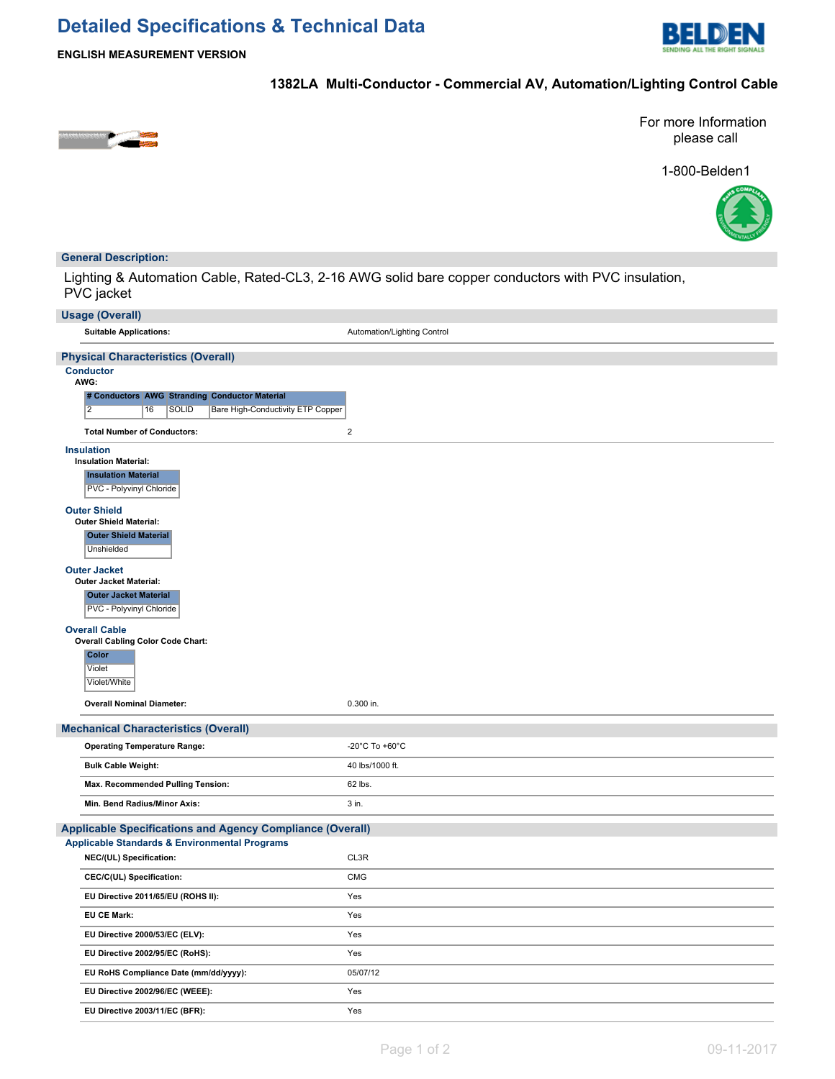# **Detailed Specifications & Technical Data**



**ENGLISH MEASUREMENT VERSION**

## **1382LA Multi-Conductor - Commercial AV, Automation/Lighting Control Cable**



For more Information please call

1-800-Belden1



## **General Description:**

Lighting & Automation Cable, Rated-CL3, 2-16 AWG solid bare copper conductors with PVC insulation, PVC jacket

| <b>Usage (Overall)</b>                                                    |                             |  |  |
|---------------------------------------------------------------------------|-----------------------------|--|--|
| <b>Suitable Applications:</b>                                             | Automation/Lighting Control |  |  |
| <b>Physical Characteristics (Overall)</b>                                 |                             |  |  |
| <b>Conductor</b>                                                          |                             |  |  |
| AWG:<br># Conductors AWG Stranding Conductor Material                     |                             |  |  |
| $\overline{2}$<br>16<br><b>SOLID</b><br>Bare High-Conductivity ETP Copper |                             |  |  |
| <b>Total Number of Conductors:</b>                                        | $\sqrt{2}$                  |  |  |
| <b>Insulation</b>                                                         |                             |  |  |
| <b>Insulation Material:</b>                                               |                             |  |  |
| <b>Insulation Material</b><br>PVC - Polyvinyl Chloride                    |                             |  |  |
| <b>Outer Shield</b>                                                       |                             |  |  |
| <b>Outer Shield Material:</b>                                             |                             |  |  |
| <b>Outer Shield Material</b>                                              |                             |  |  |
| Unshielded                                                                |                             |  |  |
| <b>Outer Jacket</b><br><b>Outer Jacket Material:</b>                      |                             |  |  |
| <b>Outer Jacket Material</b>                                              |                             |  |  |
| PVC - Polyvinyl Chloride                                                  |                             |  |  |
| <b>Overall Cable</b>                                                      |                             |  |  |
| <b>Overall Cabling Color Code Chart:</b>                                  |                             |  |  |
| Color<br>Violet                                                           |                             |  |  |
| Violet/White                                                              |                             |  |  |
| <b>Overall Nominal Diameter:</b>                                          | 0.300 in.                   |  |  |
| <b>Mechanical Characteristics (Overall)</b>                               |                             |  |  |
| <b>Operating Temperature Range:</b><br>-20°C To +60°C                     |                             |  |  |
| <b>Bulk Cable Weight:</b>                                                 | 40 lbs/1000 ft.             |  |  |
| Max. Recommended Pulling Tension:                                         | 62 lbs.                     |  |  |
| Min. Bend Radius/Minor Axis:                                              | 3 in.                       |  |  |
|                                                                           |                             |  |  |
| <b>Applicable Specifications and Agency Compliance (Overall)</b>          |                             |  |  |
| <b>Applicable Standards &amp; Environmental Programs</b>                  | CL3R                        |  |  |
| NEC/(UL) Specification:                                                   |                             |  |  |
| CEC/C(UL) Specification:                                                  | <b>CMG</b>                  |  |  |
| EU Directive 2011/65/EU (ROHS II):                                        | Yes                         |  |  |
| <b>EU CE Mark:</b>                                                        | Yes                         |  |  |
| EU Directive 2000/53/EC (ELV):                                            | Yes                         |  |  |
| EU Directive 2002/95/EC (RoHS):                                           | Yes                         |  |  |
| EU RoHS Compliance Date (mm/dd/yyyy):                                     | 05/07/12                    |  |  |
| EU Directive 2002/96/EC (WEEE):                                           | Yes                         |  |  |
| EU Directive 2003/11/EC (BFR):                                            | Yes                         |  |  |